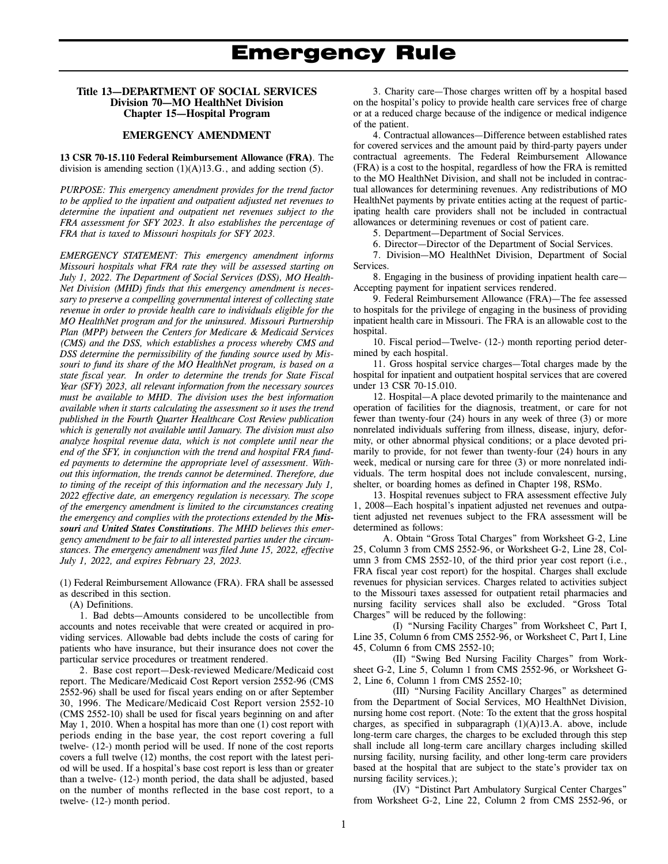#### **Title 13—DEPARTMENT OF SOCIAL SERVICES Division 70—MO HealthNet Division Chapter 15—Hospital Program**

#### **EMERGENCY AMENDMENT**

**13 CSR 70-15.110 Federal Reimbursement Allowance (FRA)***.* The division is amending section  $(1)(A)13.G.$ , and adding section  $(5)$ .

*PURPOSE: This emergency amendment provides for the trend factor to be applied to the inpatient and outpatient adjusted net revenues to determine the inpatient and outpatient net revenues subject to the FRA assessment for SFY 2023. It also establishes the percentage of FRA that is taxed to Missouri hospitals for SFY 2023.* 

*EMERGENCY STATEMENT: This emergency amendment informs Missouri hospitals what FRA rate they will be assessed starting on July 1, 2022. The Department of Social Services (DSS), MO Health-Net Division (MHD) finds that this emergency amendment is necessary to preserve a compelling governmental interest of collecting state revenue in order to provide health care to individuals eligible for the MO HealthNet program and for the uninsured. Missouri Partnership Plan (MPP) between the Centers for Medicare & Medicaid Services (CMS) and the DSS, which establishes a process whereby CMS and DSS determine the permissibility of the funding source used by Missouri to fund its share of the MO HealthNet program, is based on a state fiscal year. In order to determine the trends for State Fiscal Year (SFY) 2023, all relevant information from the necessary sources must be available to MHD. The division uses the best information available when it starts calculating the assessment so it uses the trend published in the Fourth Quarter Healthcare Cost Review publication which is generally not available until January. The division must also analyze hospital revenue data, which is not complete until near the end of the SFY, in conjunction with the trend and hospital FRA funded payments to determine the appropriate level of assessment. Without this information, the trends cannot be determined. Therefore, due to timing of the receipt of this information and the necessary July 1, 2022 effective date, an emergency regulation is necessary. The scope of the emergency amendment is limited to the circumstances creating the emergency and complies with the protections extended by the Missouri and United States Constitutions. The MHD believes this emergency amendment to be fair to all interested parties under the circumstances. The emergency amendment was filed June 15, 2022, effective July 1, 2022, and expires February 23, 2023.* 

(1) Federal Reimbursement Allowance (FRA). FRA shall be assessed as described in this section.

(A) Definitions.

1. Bad debts—Amounts considered to be uncollectible from accounts and notes receivable that were created or acquired in providing services. Allowable bad debts include the costs of caring for patients who have insurance, but their insurance does not cover the particular service procedures or treatment rendered.

2. Base cost report—Desk-reviewed Medicare/Medicaid cost report. The Medicare/Medicaid Cost Report version 2552-96 (CMS 2552-96) shall be used for fiscal years ending on or after September 30, 1996. The Medicare/Medicaid Cost Report version 2552-10 (CMS 2552-10) shall be used for fiscal years beginning on and after May 1, 2010. When a hospital has more than one (1) cost report with periods ending in the base year, the cost report covering a full twelve- (12-) month period will be used. If none of the cost reports covers a full twelve (12) months, the cost report with the latest period will be used. If a hospital's base cost report is less than or greater than a twelve- (12-) month period, the data shall be adjusted, based on the number of months reflected in the base cost report, to a twelve- (12-) month period.

3. Charity care—Those charges written off by a hospital based on the hospital's policy to provide health care services free of charge or at a reduced charge because of the indigence or medical indigence of the patient.

4. Contractual allowances—Difference between established rates for covered services and the amount paid by third-party payers under contractual agreements. The Federal Reimbursement Allowance (FRA) is a cost to the hospital, regardless of how the FRA is remitted to the MO HealthNet Division, and shall not be included in contractual allowances for determining revenues. Any redistributions of MO HealthNet payments by private entities acting at the request of participating health care providers shall not be included in contractual allowances or determining revenues or cost of patient care.

5. Department—Department of Social Services.

6. Director—Director of the Department of Social Services.

7. Division—MO HealthNet Division, Department of Social Services.

8. Engaging in the business of providing inpatient health care— Accepting payment for inpatient services rendered.

9. Federal Reimbursement Allowance (FRA)—The fee assessed to hospitals for the privilege of engaging in the business of providing inpatient health care in Missouri. The FRA is an allowable cost to the hospital.

10. Fiscal period—Twelve- (12-) month reporting period determined by each hospital.

11. Gross hospital service charges—Total charges made by the hospital for inpatient and outpatient hospital services that are covered under 13 CSR 70-15.010.

12. Hospital—A place devoted primarily to the maintenance and operation of facilities for the diagnosis, treatment, or care for not fewer than twenty-four (24) hours in any week of three (3) or more nonrelated individuals suffering from illness, disease, injury, deformity, or other abnormal physical conditions; or a place devoted primarily to provide, for not fewer than twenty-four (24) hours in any week, medical or nursing care for three (3) or more nonrelated individuals. The term hospital does not include convalescent, nursing, shelter, or boarding homes as defined in Chapter 198, RSMo.

13. Hospital revenues subject to FRA assessment effective July 1, 2008—Each hospital's inpatient adjusted net revenues and outpatient adjusted net revenues subject to the FRA assessment will be determined as follows:

A. Obtain "Gross Total Charges" from Worksheet G-2, Line 25, Column 3 from CMS 2552-96, or Worksheet G-2, Line 28, Column 3 from CMS 2552-10, of the third prior year cost report (i.e., FRA fiscal year cost report) for the hospital. Charges shall exclude revenues for physician services. Charges related to activities subject to the Missouri taxes assessed for outpatient retail pharmacies and nursing facility services shall also be excluded. "Gross Total Charges" will be reduced by the following:

(I) "Nursing Facility Charges" from Worksheet C, Part I, Line 35, Column 6 from CMS 2552-96, or Worksheet C, Part I, Line 45, Column 6 from CMS 2552-10;

(II) "Swing Bed Nursing Facility Charges" from Worksheet G-2, Line 5, Column 1 from CMS 2552-96, or Worksheet G-2, Line 6, Column 1 from CMS 2552-10;

(III) "Nursing Facility Ancillary Charges" as determined from the Department of Social Services, MO HealthNet Division, nursing home cost report. (Note: To the extent that the gross hospital charges, as specified in subparagraph (1)(A)13.A. above, include long-term care charges, the charges to be excluded through this step shall include all long-term care ancillary charges including skilled nursing facility, nursing facility, and other long-term care providers based at the hospital that are subject to the state's provider tax on nursing facility services.);

(IV) "Distinct Part Ambulatory Surgical Center Charges" from Worksheet G-2, Line 22, Column 2 from CMS 2552-96, or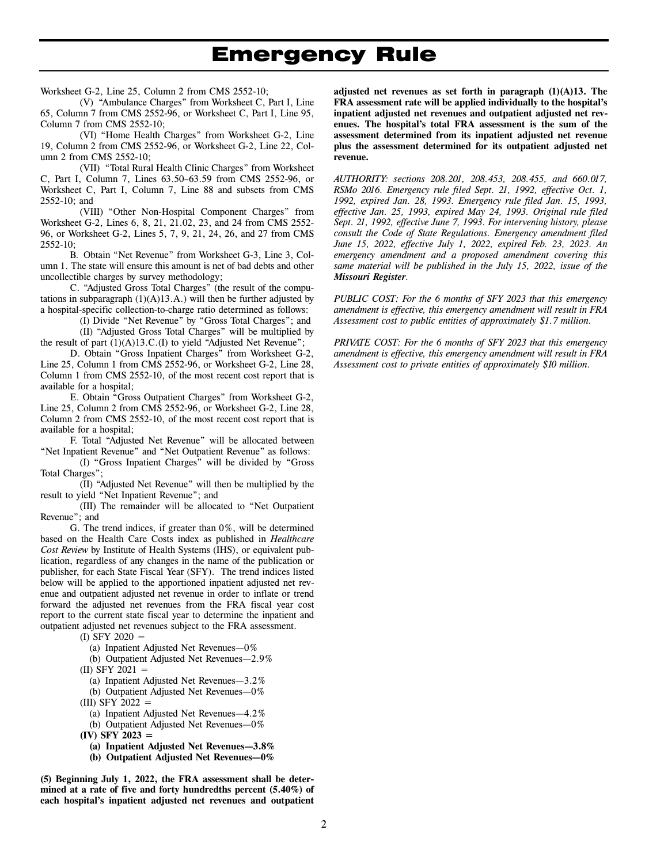# <u>Emergency</u> Rule

Worksheet G-2, Line 25, Column 2 from CMS 2552-10;

(V) "Ambulance Charges" from Worksheet C, Part I, Line 65, Column 7 from CMS 2552-96, or Worksheet C, Part I, Line 95, Column 7 from CMS 2552-10;

(VI) "Home Health Charges" from Worksheet G-2, Line 19, Column 2 from CMS 2552-96, or Worksheet G-2, Line 22, Column 2 from CMS 2552-10;

(VII) "Total Rural Health Clinic Charges" from Worksheet C, Part I, Column 7, Lines 63.50–63.59 from CMS 2552-96, or Worksheet C, Part I, Column 7, Line 88 and subsets from CMS 2552-10; and

(VIII) "Other Non-Hospital Component Charges" from Worksheet G-2, Lines 6, 8, 21, 21.02, 23, and 24 from CMS 2552- 96, or Worksheet G-2, Lines 5, 7, 9, 21, 24, 26, and 27 from CMS 2552-10;

B. Obtain "Net Revenue" from Worksheet G-3, Line 3, Column 1. The state will ensure this amount is net of bad debts and other uncollectible charges by survey methodology;

C. "Adjusted Gross Total Charges" (the result of the computations in subparagraph  $(1)(A)13.A.$ ) will then be further adjusted by a hospital-specific collection-to-charge ratio determined as follows:

> (I) Divide "Net Revenue" by "Gross Total Charges"; and (II) "Adjusted Gross Total Charges" will be multiplied by

the result of part  $(1)(A)13.C.(I)$  to yield "Adjusted Net Revenue"; D. Obtain "Gross Inpatient Charges" from Worksheet G-2, Line 25, Column 1 from CMS 2552-96, or Worksheet G-2, Line 28, Column 1 from CMS 2552-10, of the most recent cost report that is available for a hospital;

E. Obtain "Gross Outpatient Charges" from Worksheet G-2, Line 25, Column 2 from CMS 2552-96, or Worksheet G-2, Line 28, Column 2 from CMS 2552-10, of the most recent cost report that is available for a hospital;

F. Total "Adjusted Net Revenue" will be allocated between "Net Inpatient Revenue" and "Net Outpatient Revenue" as follows:

(I) "Gross Inpatient Charges" will be divided by "Gross Total Charges";

(II) "Adjusted Net Revenue" will then be multiplied by the result to yield "Net Inpatient Revenue"; and

(III) The remainder will be allocated to "Net Outpatient Revenue"; and

G. The trend indices, if greater than 0%, will be determined based on the Health Care Costs index as published in *Healthcare Cost Review* by Institute of Health Systems (IHS), or equivalent publication, regardless of any changes in the name of the publication or publisher, for each State Fiscal Year (SFY). The trend indices listed below will be applied to the apportioned inpatient adjusted net revenue and outpatient adjusted net revenue in order to inflate or trend forward the adjusted net revenues from the FRA fiscal year cost report to the current state fiscal year to determine the inpatient and outpatient adjusted net revenues subject to the FRA assessment.

 $(I)$  SFY 2020  $=$ 

- (a) Inpatient Adjusted Net Revenues—0%
- (b) Outpatient Adjusted Net Revenues—2.9%
- $(II)$  SFY 2021 =
- (a) Inpatient Adjusted Net Revenues—3.2%
- (b) Outpatient Adjusted Net Revenues—0%
- $(III)$  SFY 2022  $=$
- (a) Inpatient Adjusted Net Revenues—4.2%
- (b) Outpatient Adjusted Net Revenues—0%
- **(IV) SFY 2023 =**
- **(a) Inpatient Adjusted Net Revenues—3.8%**
- **(b) Outpatient Adjusted Net Revenues—0%**

**(5) Beginning July 1, 2022, the FRA assessment shall be determined at a rate of five and forty hundredths percent (5.40%) of each hospital's inpatient adjusted net revenues and outpatient** 

**adjusted net revenues as set forth in paragraph (1)(A)13. The FRA assessment rate will be applied individually to the hospital's inpatient adjusted net revenues and outpatient adjusted net revenues. The hospital's total FRA assessment is the sum of the assessment determined from its inpatient adjusted net revenue plus the assessment determined for its outpatient adjusted net revenue.** 

*AUTHORITY: sections 208.201, 208.453, 208.455, and 660.017, RSMo 2016. Emergency rule filed Sept. 21, 1992, effective Oct. 1, 1992, expired Jan. 28, 1993. Emergency rule filed Jan. 15, 1993, effective Jan. 25, 1993, expired May 24, 1993. Original rule filed Sept. 21, 1992, effective June 7, 1993. For intervening history, please consult the Code of State Regulations. Emergency amendment filed June 15, 2022, effective July 1, 2022, expired Feb. 23, 2023. An emergency amendment and a proposed amendment covering this same material will be published in the July 15, 2022, issue of the Missouri Register.* 

*PUBLIC COST: For the 6 months of SFY 2023 that this emergency amendment is effective, this emergency amendment will result in FRA Assessment cost to public entities of approximately \$1.7 million.* 

*PRIVATE COST: For the 6 months of SFY 2023 that this emergency amendment is effective, this emergency amendment will result in FRA Assessment cost to private entities of approximately \$10 million.*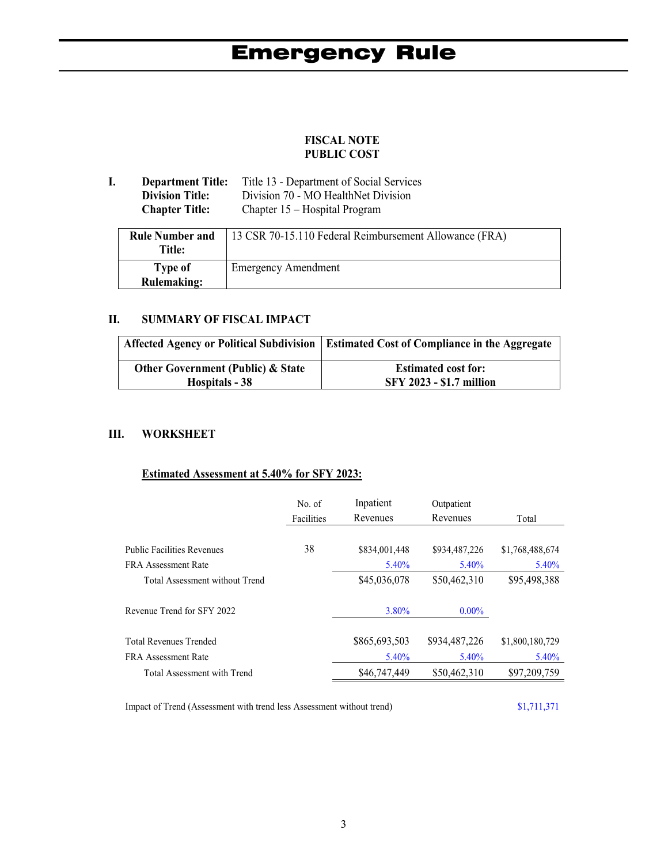# **FISCAL NOTE PUBLIC COST**

| <b>Department Title:</b> | Title 13 - Department of Social Services |
|--------------------------|------------------------------------------|
| <b>Division Title:</b>   | Division 70 - MO HealthNet Division      |
| <b>Chapter Title:</b>    | Chapter $15$ – Hospital Program          |

| <b>Rule Number and</b><br><b>Title:</b> | 13 CSR 70-15.110 Federal Reimbursement Allowance (FRA) |
|-----------------------------------------|--------------------------------------------------------|
| Type of<br><b>Rulemaking:</b>           | <b>Emergency Amendment</b>                             |

# **II. SUMMARY OF FISCAL IMPACT**

|                                              | Affected Agency or Political Subdivision   Estimated Cost of Compliance in the Aggregate |
|----------------------------------------------|------------------------------------------------------------------------------------------|
| <b>Other Government (Public) &amp; State</b> | <b>Estimated cost for:</b>                                                               |
| Hospitals - 38                               | <b>SFY 2023 - \$1.7 million</b>                                                          |

## **III. WORKSHEET**

#### **Estimated Assessment at 5.40% for SFY 2023:**

|                                   | No. $of$          | Inpatient     | Outpatient    |                 |
|-----------------------------------|-------------------|---------------|---------------|-----------------|
|                                   | <b>Facilities</b> | Revenues      | Revenues      | Total           |
|                                   |                   |               |               |                 |
| <b>Public Facilities Revenues</b> | 38                | \$834,001,448 | \$934,487,226 | \$1,768,488,674 |
| FRA Assessment Rate               |                   | $5.40\%$      | 5.40%         | $5.40\%$        |
| Total Assessment without Trend    |                   | \$45,036,078  | \$50,462,310  | \$95,498,388    |
| Revenue Trend for SFY 2022        |                   | $3.80\%$      | $0.00\%$      |                 |
| <b>Total Revenues Trended</b>     |                   | \$865,693,503 | \$934,487,226 | \$1,800,180,729 |
| <b>FRA</b> Assessment Rate        |                   | $5.40\%$      | 5.40%         | $5.40\%$        |
| Total Assessment with Trend       |                   | \$46,747,449  | \$50,462,310  | \$97,209,759    |

Impact of Trend (Assessment with trend less Assessment without trend) \$1,711,371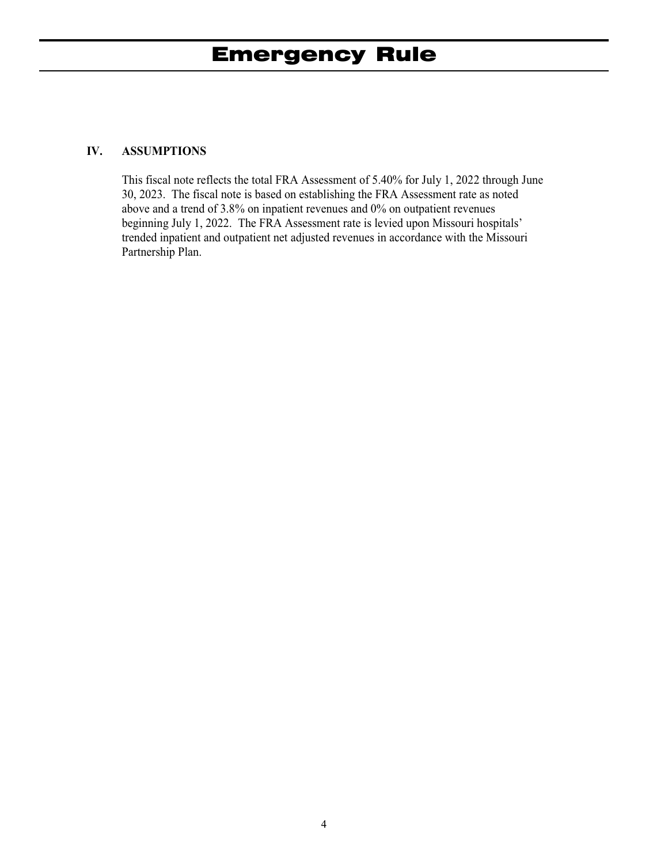## **IV. ASSUMPTIONS**

This fiscal note reflects the total FRA Assessment of 5.40% for July 1, 2022 through June 30, 2023. The fiscal note is based on establishing the FRA Assessment rate as noted above and a trend of 3.8% on inpatient revenues and 0% on outpatient revenues beginning July 1, 2022. The FRA Assessment rate is levied upon Missouri hospitals' trended inpatient and outpatient net adjusted revenues in accordance with the Missouri Partnership Plan.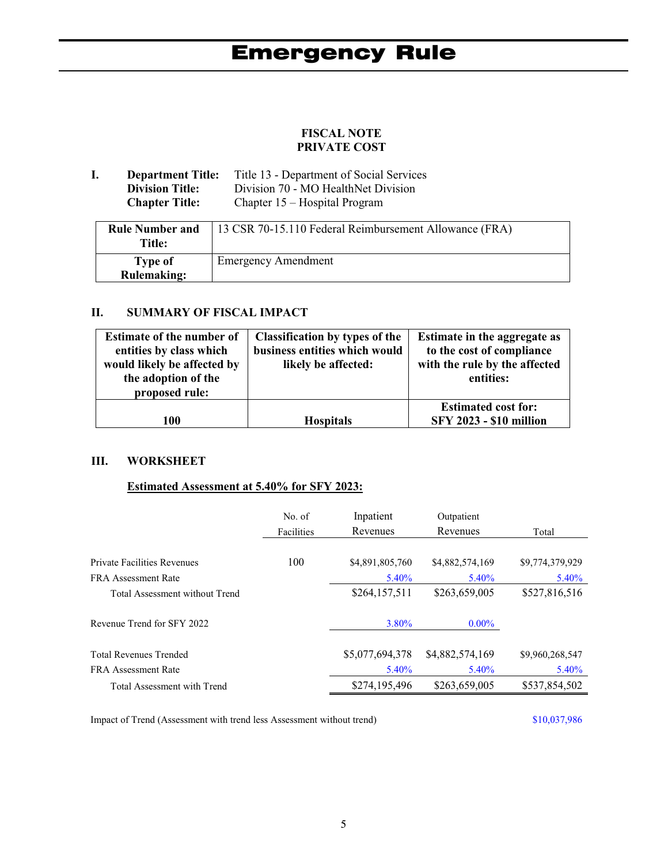# **FISCAL NOTE PRIVATE COST**

**I. Department Title:** Title 13 - Department of Social Services<br>Division Title: Division 70 - MO HealthNet Division Division 70 - MO HealthNet Division **Chapter Title:** Chapter 15 – Hospital Program

| <b>Rule Number and</b><br><b>Title:</b> | 13 CSR 70-15.110 Federal Reimbursement Allowance (FRA) |
|-----------------------------------------|--------------------------------------------------------|
| Type of<br><b>Rulemaking:</b>           | <b>Emergency Amendment</b>                             |

## **II. SUMMARY OF FISCAL IMPACT**

| 100                              | <b>Hospitals</b>                      | <b>Estimated cost for:</b><br><b>SFY 2023 - \$10 million</b> |  |
|----------------------------------|---------------------------------------|--------------------------------------------------------------|--|
|                                  |                                       |                                                              |  |
| proposed rule:                   |                                       |                                                              |  |
| the adoption of the              |                                       | entities:                                                    |  |
| would likely be affected by      | likely be affected:                   | with the rule by the affected                                |  |
| entities by class which          | business entities which would         | to the cost of compliance                                    |  |
| <b>Estimate of the number of</b> | <b>Classification by types of the</b> | Estimate in the aggregate as                                 |  |

#### **III. WORKSHEET**

#### **Estimated Assessment at 5.40% for SFY 2023:**

|                                    | No. of     | Inpatient       | Outpatient      |                 |
|------------------------------------|------------|-----------------|-----------------|-----------------|
|                                    | Facilities | Revenues        | Revenues        | Total           |
|                                    |            |                 |                 |                 |
| <b>Private Facilities Revenues</b> | 100        | \$4,891,805,760 | \$4,882,574,169 | \$9,774,379,929 |
| FRA Assessment Rate                |            | $5.40\%$        | $5.40\%$        | 5.40%           |
| Total Assessment without Trend     |            | \$264,157,511   | \$263,659,005   | \$527,816,516   |
| Revenue Trend for SFY 2022         |            | $3.80\%$        | $0.00\%$        |                 |
| <b>Total Revenues Trended</b>      |            | \$5,077,694,378 | \$4,882,574,169 | \$9,960,268,547 |
| <b>FRA</b> Assessment Rate         |            | $5.40\%$        | $5.40\%$        | $5.40\%$        |
| Total Assessment with Trend        |            | \$274,195,496   | \$263,659,005   | \$537,854,502   |

Impact of Trend (Assessment with trend less Assessment without trend) \$10,037,986